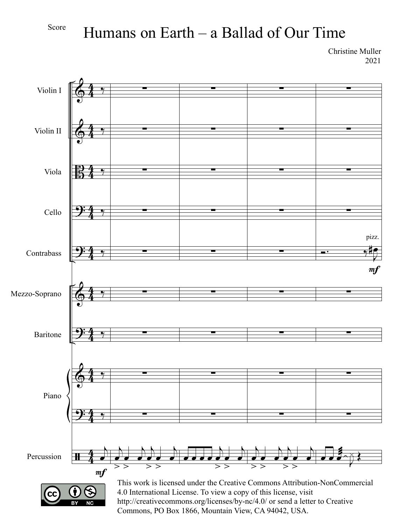## Score

## Humans on Earth – a Ballad of Our Time

Christine Muller 2021



Commons, PO Box 1866, Mountain View, CA 94042, USA.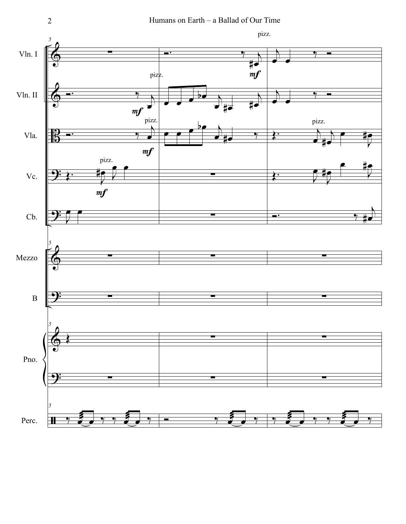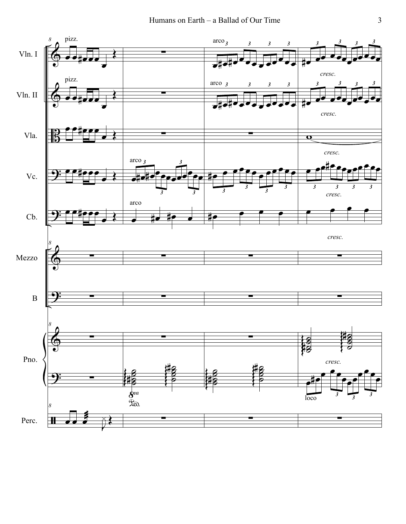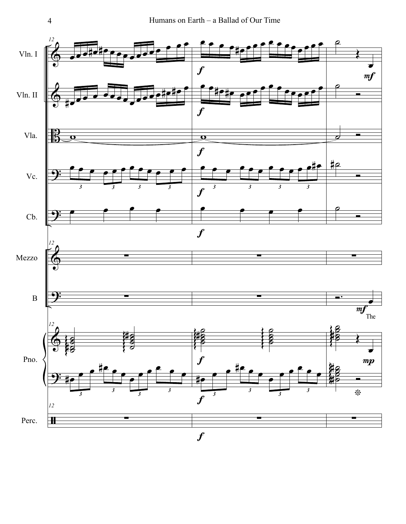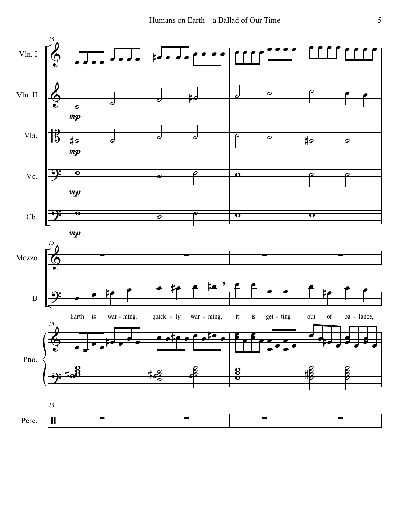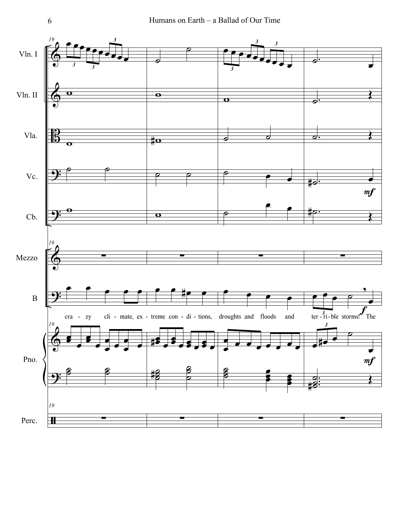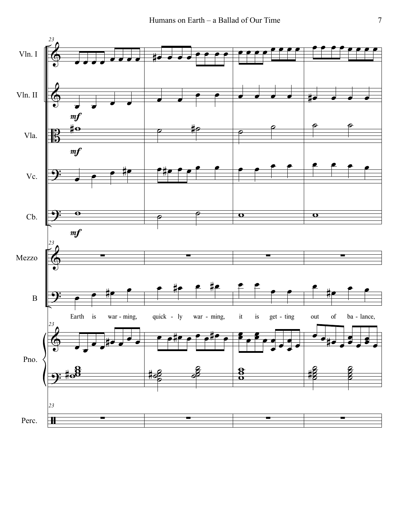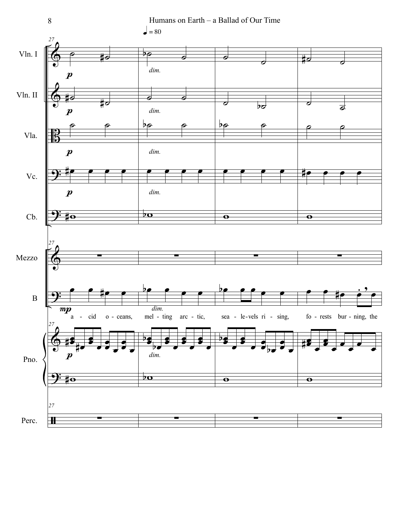![](_page_7_Figure_0.jpeg)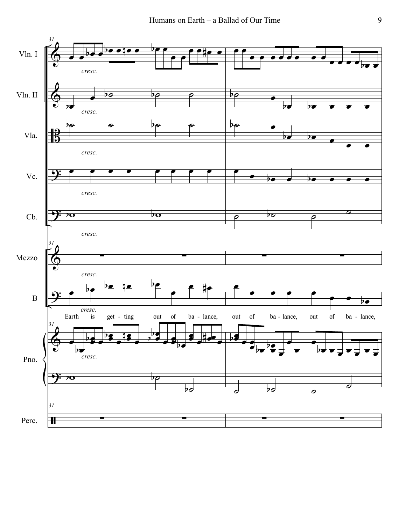![](_page_8_Figure_1.jpeg)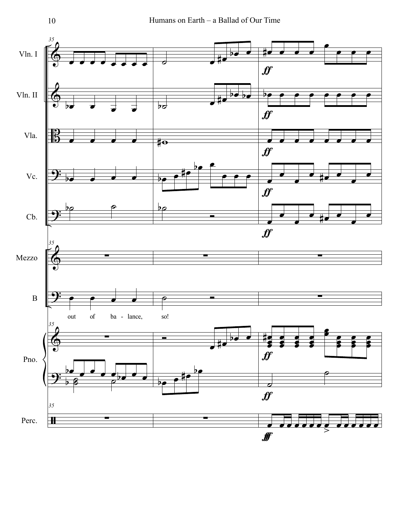![](_page_9_Figure_1.jpeg)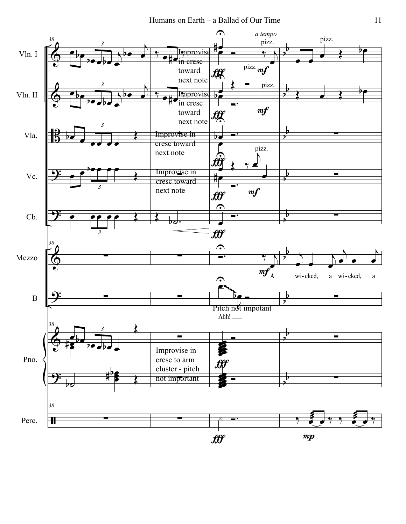![](_page_10_Figure_1.jpeg)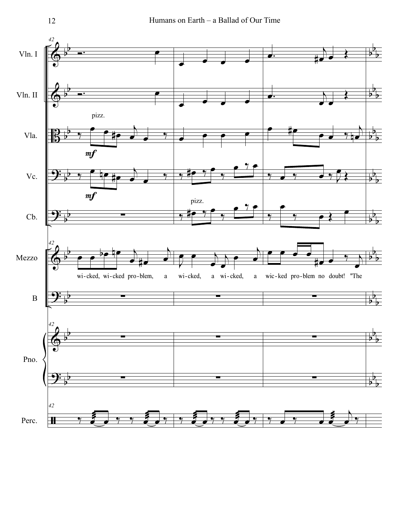![](_page_11_Figure_1.jpeg)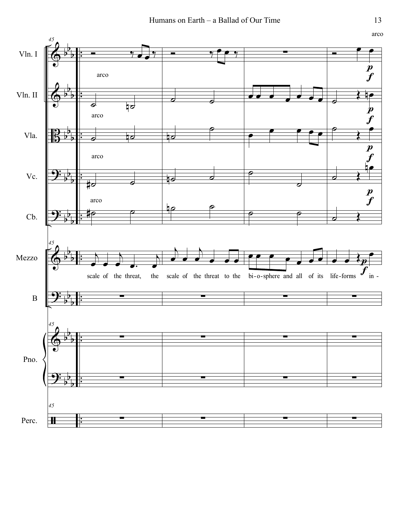![](_page_12_Figure_1.jpeg)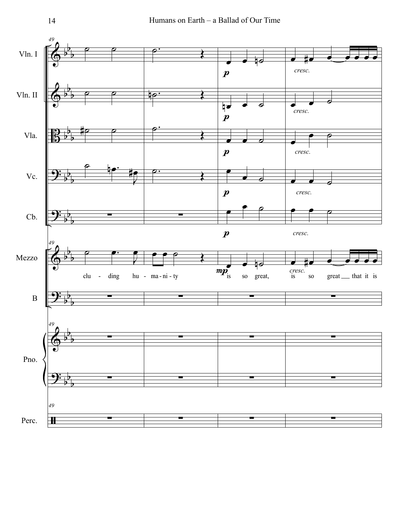![](_page_13_Figure_1.jpeg)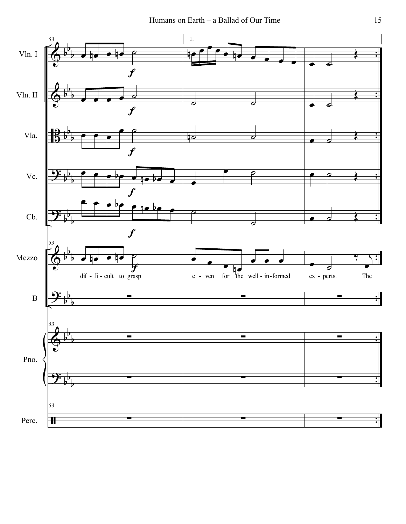![](_page_14_Figure_1.jpeg)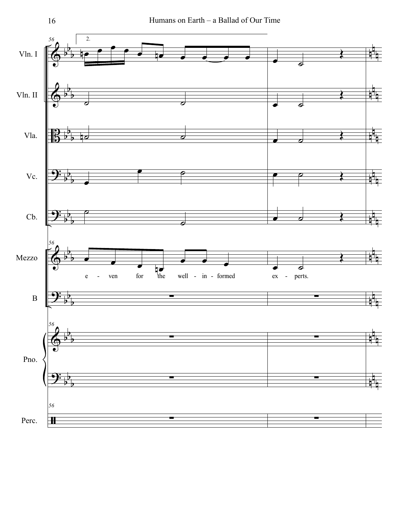![](_page_15_Figure_1.jpeg)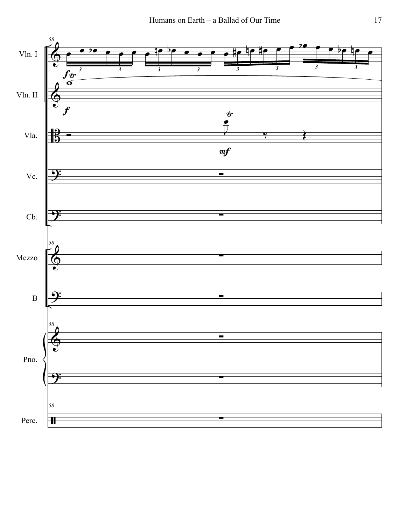![](_page_16_Figure_1.jpeg)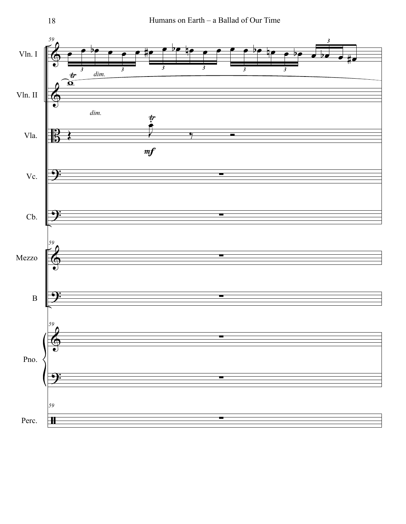![](_page_17_Figure_1.jpeg)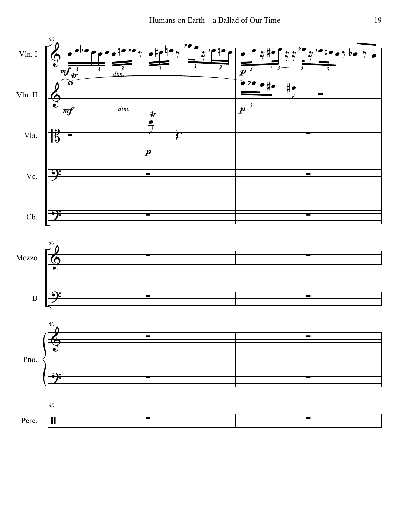![](_page_18_Figure_1.jpeg)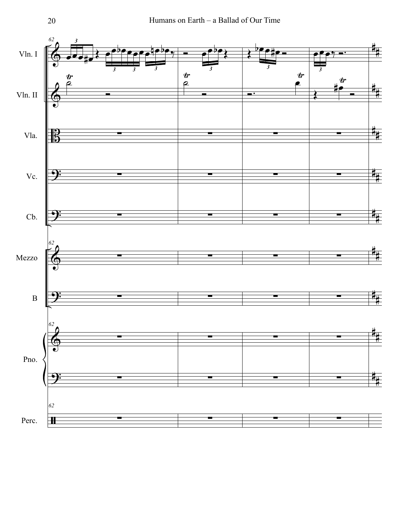![](_page_19_Figure_1.jpeg)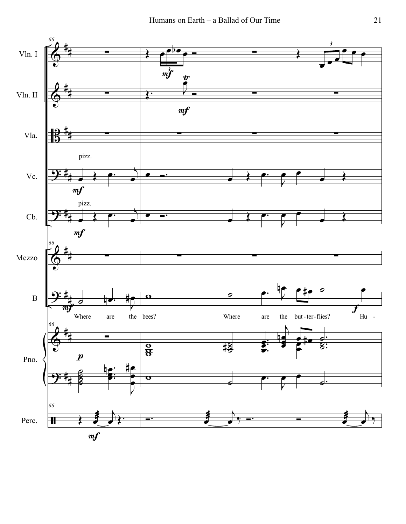![](_page_20_Figure_1.jpeg)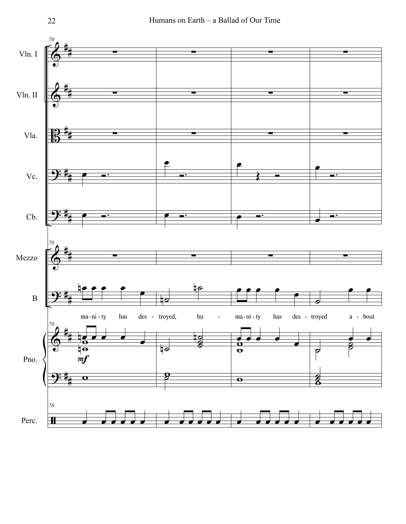![](_page_21_Figure_1.jpeg)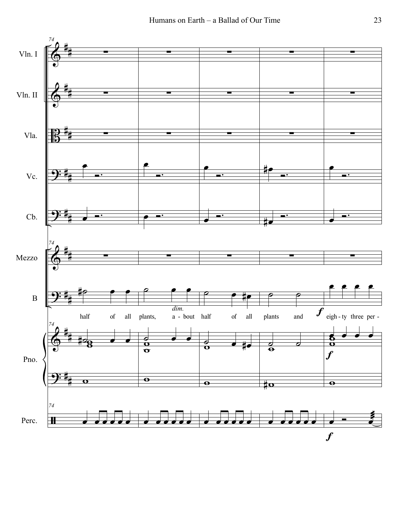![](_page_22_Figure_1.jpeg)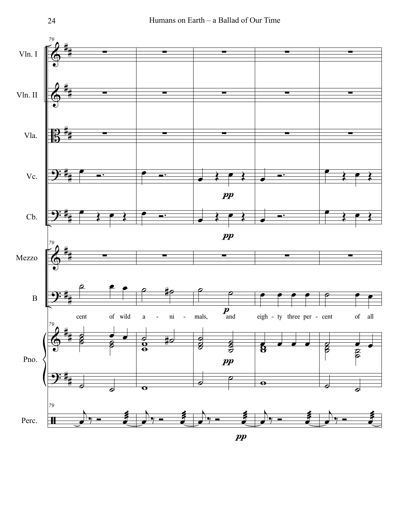![](_page_23_Figure_1.jpeg)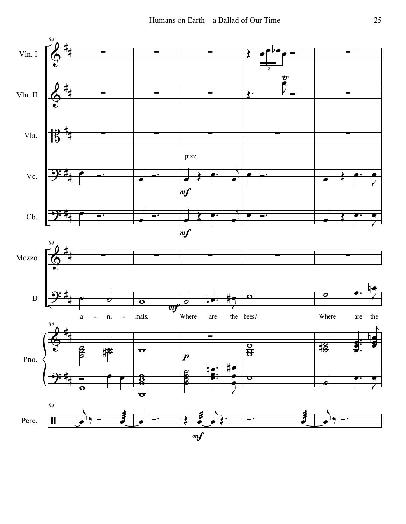![](_page_24_Figure_1.jpeg)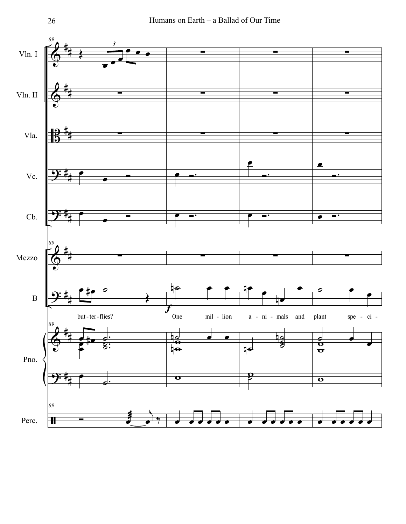![](_page_25_Figure_1.jpeg)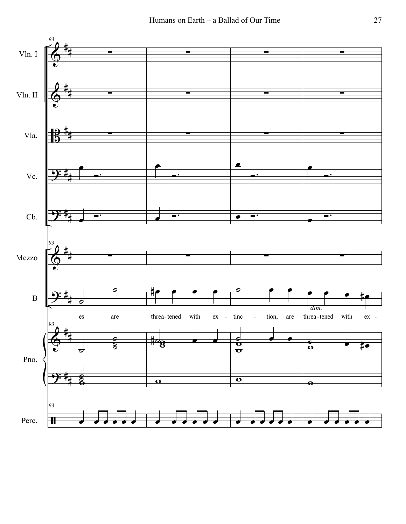![](_page_26_Figure_1.jpeg)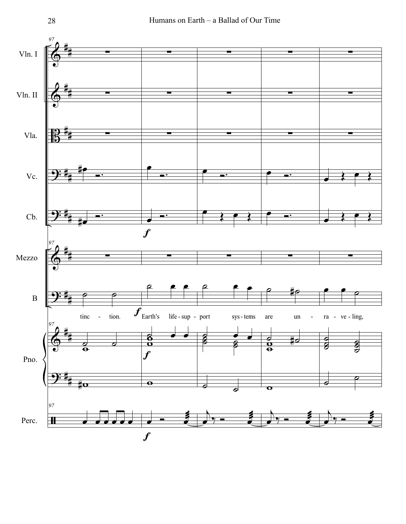![](_page_27_Figure_1.jpeg)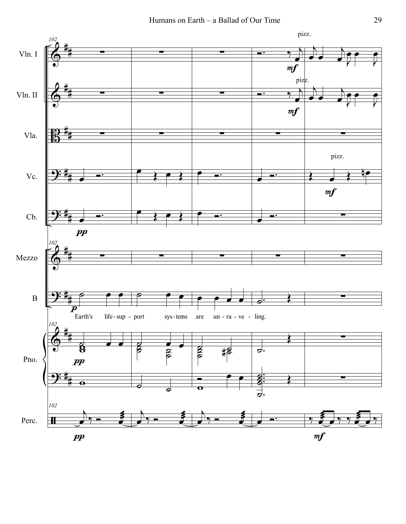![](_page_28_Figure_1.jpeg)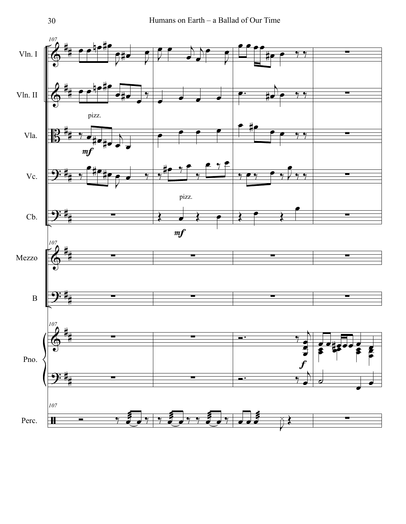![](_page_29_Figure_1.jpeg)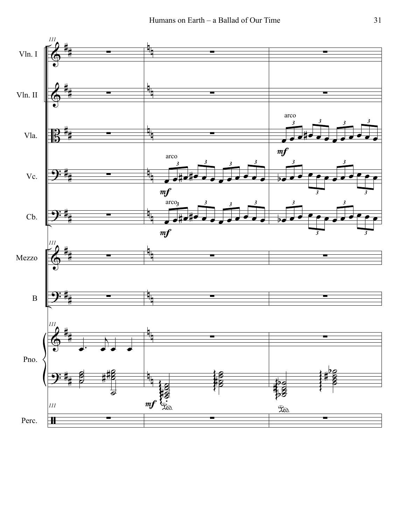![](_page_30_Figure_1.jpeg)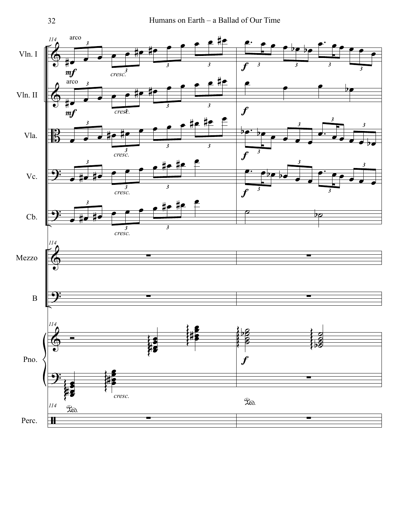![](_page_31_Figure_1.jpeg)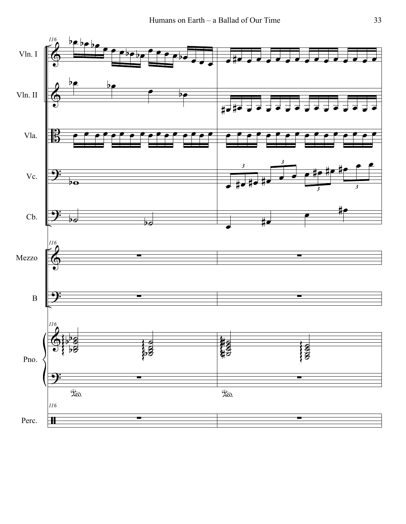![](_page_32_Figure_1.jpeg)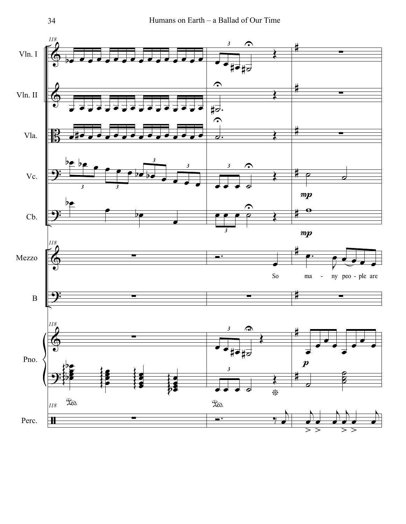![](_page_33_Figure_1.jpeg)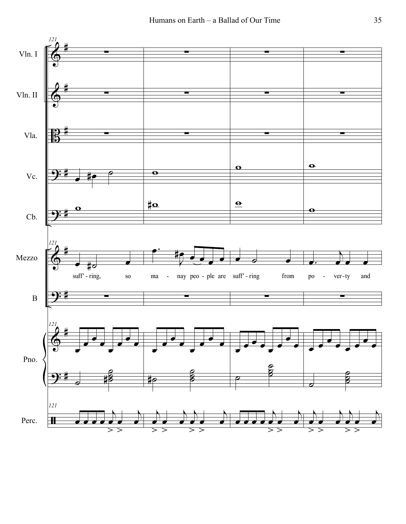![](_page_34_Figure_1.jpeg)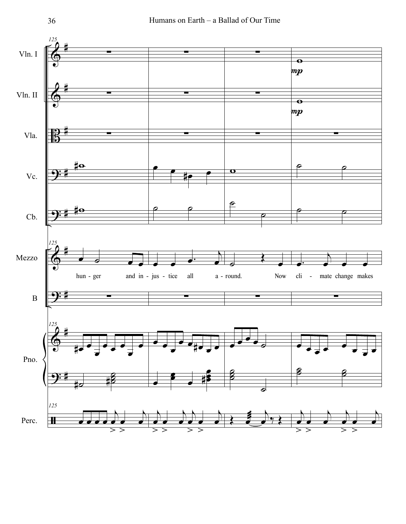![](_page_35_Figure_1.jpeg)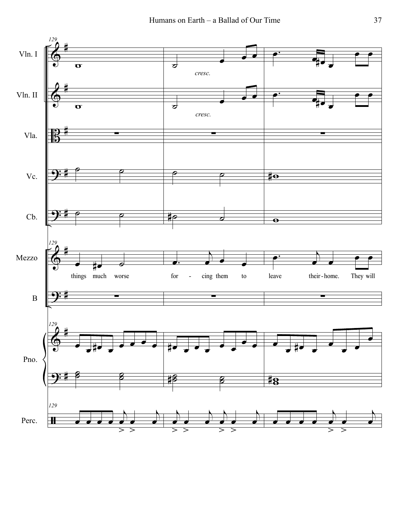![](_page_36_Figure_1.jpeg)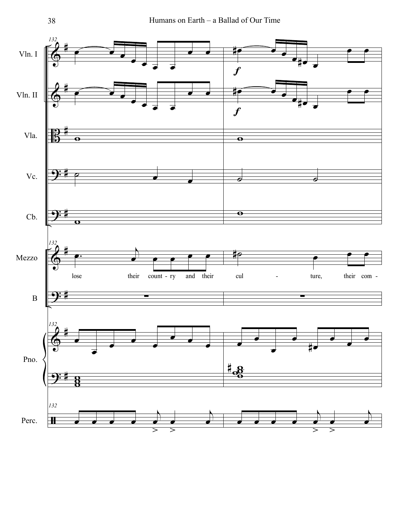![](_page_37_Figure_1.jpeg)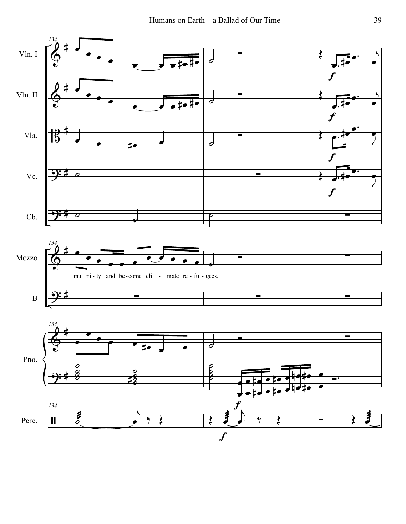![](_page_38_Figure_1.jpeg)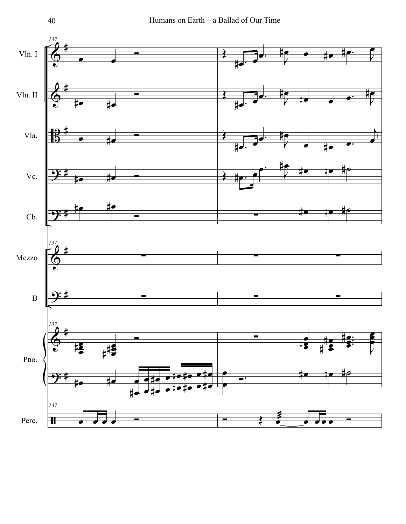![](_page_39_Figure_1.jpeg)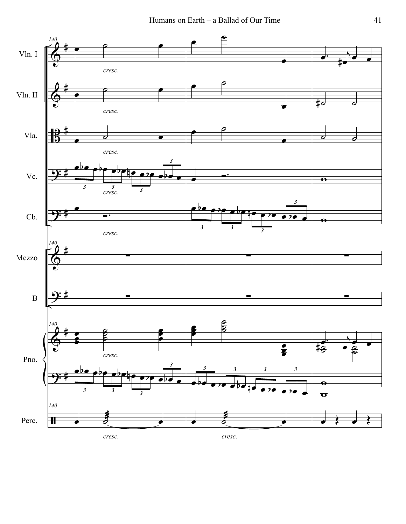![](_page_40_Figure_1.jpeg)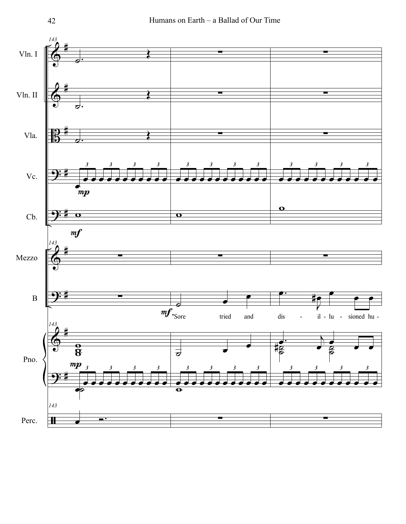![](_page_41_Figure_1.jpeg)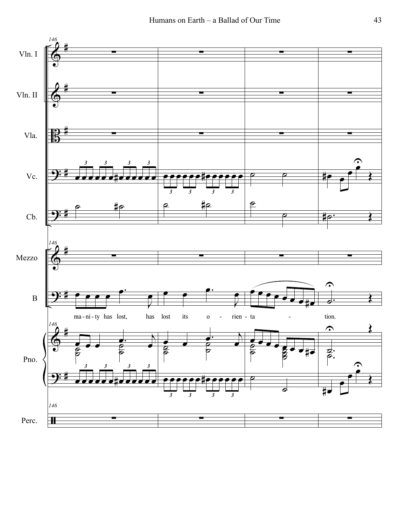![](_page_42_Figure_1.jpeg)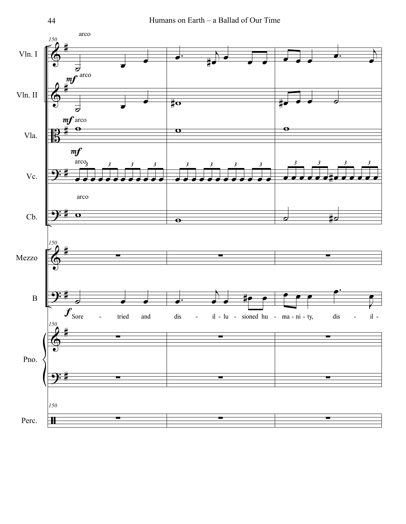![](_page_43_Figure_1.jpeg)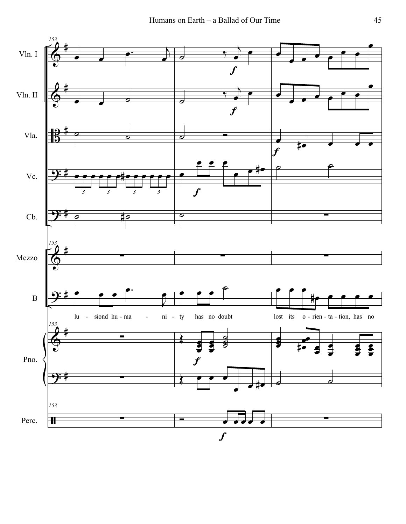![](_page_44_Figure_1.jpeg)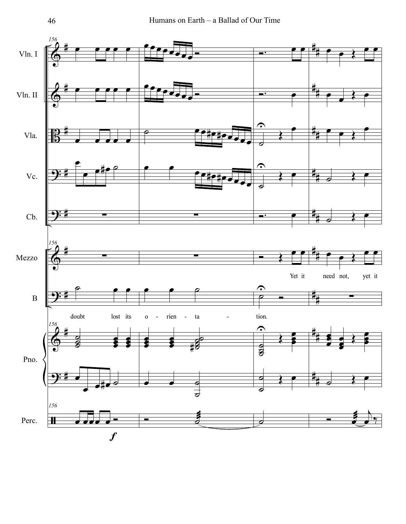![](_page_45_Figure_1.jpeg)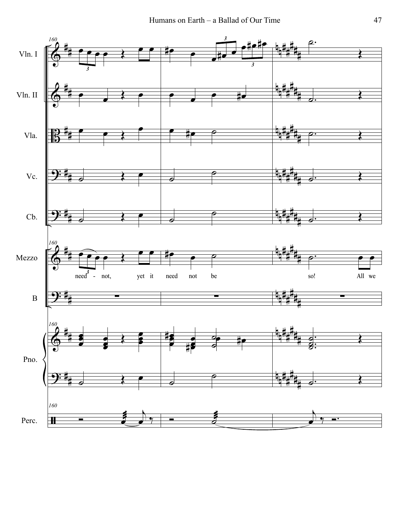![](_page_46_Figure_1.jpeg)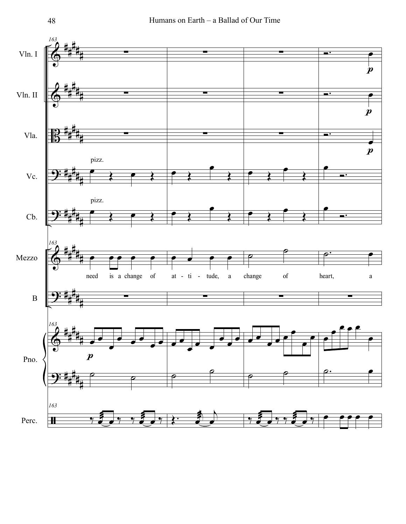![](_page_47_Figure_1.jpeg)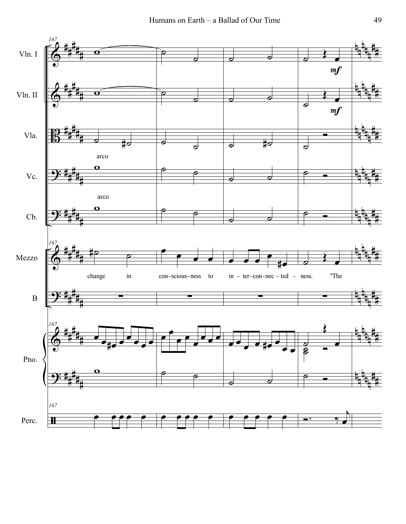![](_page_48_Figure_1.jpeg)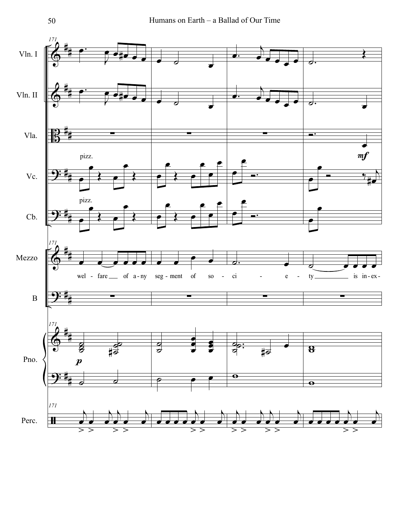![](_page_49_Figure_1.jpeg)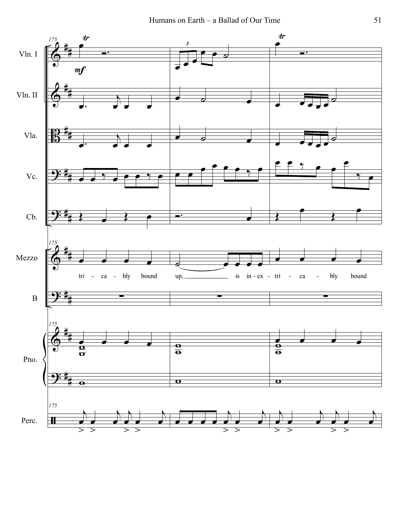![](_page_50_Figure_1.jpeg)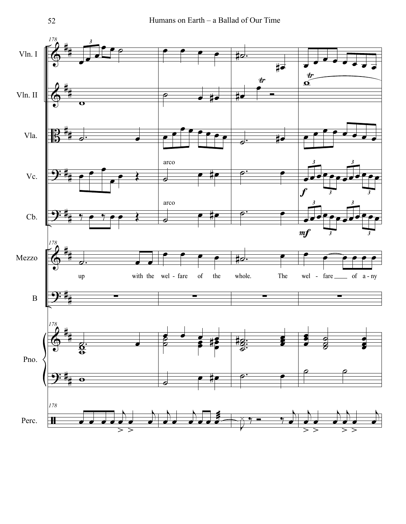![](_page_51_Figure_1.jpeg)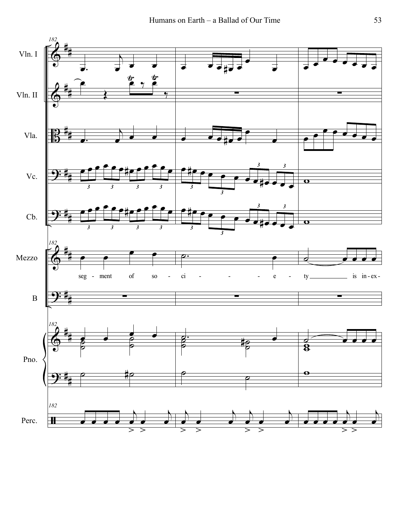![](_page_52_Figure_1.jpeg)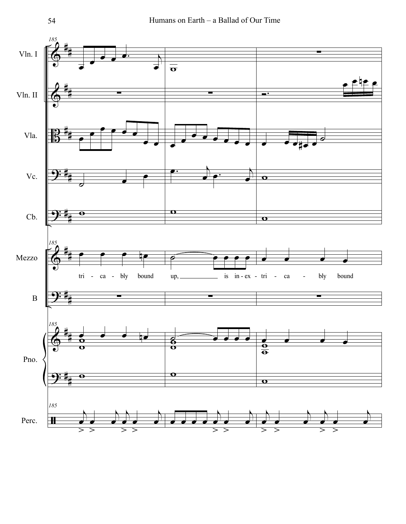![](_page_53_Figure_1.jpeg)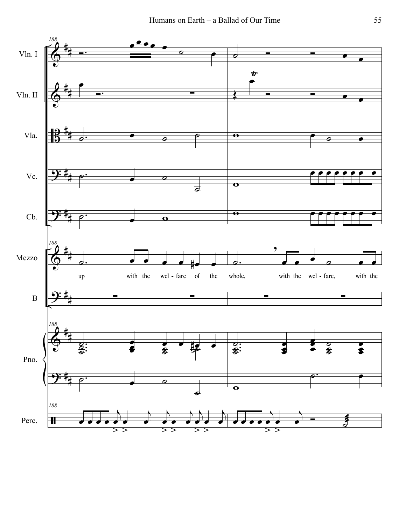![](_page_54_Figure_1.jpeg)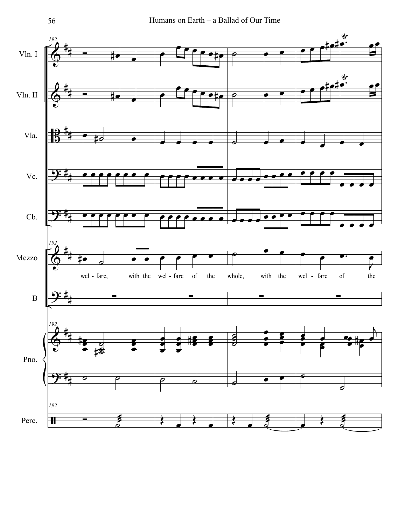![](_page_55_Figure_1.jpeg)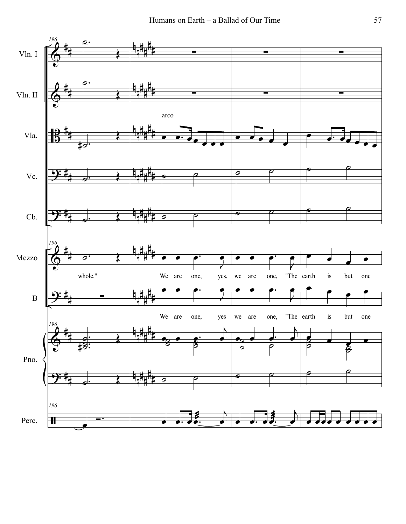![](_page_56_Figure_1.jpeg)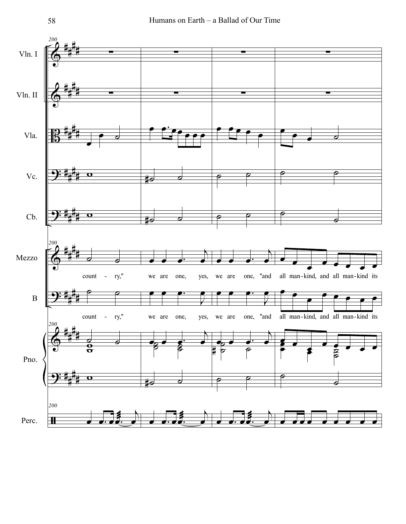![](_page_57_Figure_1.jpeg)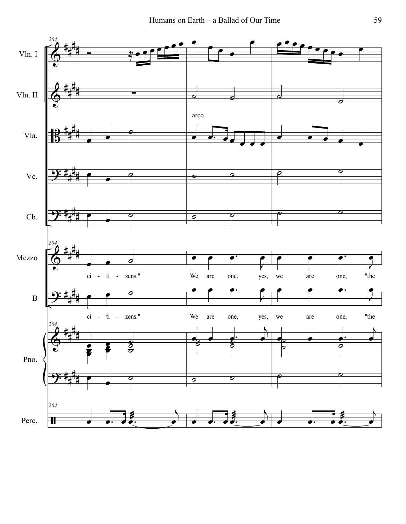![](_page_58_Figure_1.jpeg)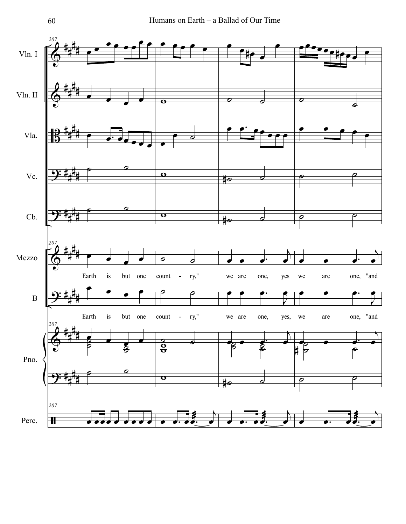![](_page_59_Figure_1.jpeg)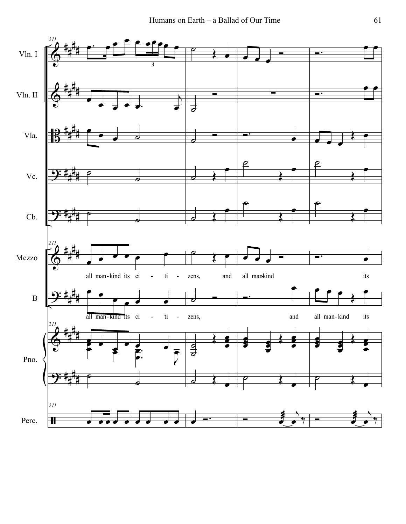![](_page_60_Figure_1.jpeg)